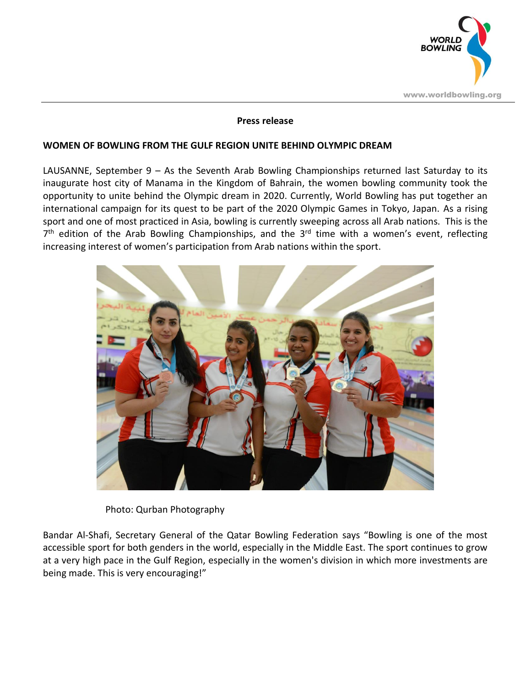

## **Press release**

## **WOMEN OF BOWLING FROM THE GULF REGION UNITE BEHIND OLYMPIC DREAM**

LAUSANNE, September 9 – As the Seventh Arab Bowling Championships returned last Saturday to its inaugurate host city of Manama in the Kingdom of Bahrain, the women bowling community took the opportunity to unite behind the Olympic dream in 2020. Currently, World Bowling has put together an international campaign for its quest to be part of the 2020 Olympic Games in Tokyo, Japan. As a rising sport and one of most practiced in Asia, bowling is currently sweeping across all Arab nations. This is the 7<sup>th</sup> edition of the Arab Bowling Championships, and the 3<sup>rd</sup> time with a women's event, reflecting increasing interest of women's participation from Arab nations within the sport.



Photo: Qurban Photography

Bandar Al-Shafi, Secretary General of the Qatar Bowling Federation says "Bowling is one of the most accessible sport for both genders in the world, especially in the Middle East. The sport continues to grow at a very high pace in the Gulf Region, especially in the women's division in which more investments are being made. This is very encouraging!"